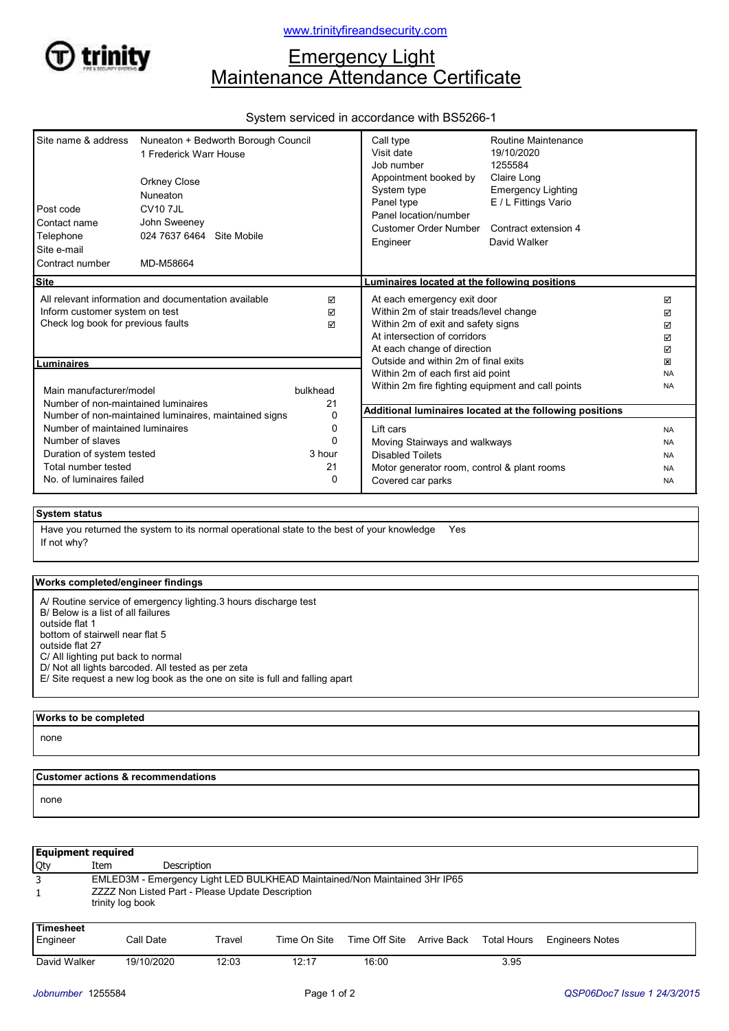

# www.trinityfireandsecurity.com

# **Emergency Light** Maintenance Attendance Certificate

# System serviced in accordance with BS5266-1

| Site name & address<br>Post code<br>Contact name<br>Telephone<br>Site e-mail | Nuneaton + Bedworth Borough Council<br>1 Frederick Warr House<br><b>Orkney Close</b><br>Nuneaton<br><b>CV10 7JL</b><br>John Sweeney<br>024 7637 6464 Site Mobile |          | Call type<br>Visit date<br>Job number<br>Appointment booked by<br>System type<br>Panel type<br>Panel location/number<br>Customer Order Number<br>Engineer | Routine Maintenance<br>19/10/2020<br>1255584<br>Claire Long<br><b>Emergency Lighting</b><br>E / L Fittings Vario<br>Contract extension 4<br>David Walker |           |
|------------------------------------------------------------------------------|------------------------------------------------------------------------------------------------------------------------------------------------------------------|----------|-----------------------------------------------------------------------------------------------------------------------------------------------------------|----------------------------------------------------------------------------------------------------------------------------------------------------------|-----------|
| Contract number                                                              | MD-M58664                                                                                                                                                        |          |                                                                                                                                                           |                                                                                                                                                          |           |
| <b>Site</b>                                                                  |                                                                                                                                                                  |          | Luminaires located at the following positions                                                                                                             |                                                                                                                                                          |           |
| All relevant information and documentation available                         |                                                                                                                                                                  | ☑        | At each emergency exit door                                                                                                                               |                                                                                                                                                          | ☑         |
| Inform customer system on test                                               |                                                                                                                                                                  | ☑        | Within 2m of stair treads/level change                                                                                                                    |                                                                                                                                                          | ☑         |
| Check log book for previous faults                                           |                                                                                                                                                                  | ⊠        | Within 2m of exit and safety signs                                                                                                                        | ☑                                                                                                                                                        |           |
|                                                                              |                                                                                                                                                                  |          | At intersection of corridors                                                                                                                              |                                                                                                                                                          | ☑         |
|                                                                              |                                                                                                                                                                  |          | At each change of direction                                                                                                                               |                                                                                                                                                          | ☑         |
| Luminaires                                                                   |                                                                                                                                                                  |          | Outside and within 2m of final exits                                                                                                                      |                                                                                                                                                          | ×         |
|                                                                              |                                                                                                                                                                  |          | Within 2m of each first aid point                                                                                                                         |                                                                                                                                                          | <b>NA</b> |
| Main manufacturer/model                                                      |                                                                                                                                                                  | bulkhead | Within 2m fire fighting equipment and call points                                                                                                         |                                                                                                                                                          | <b>NA</b> |
| Number of non-maintained luminaires                                          |                                                                                                                                                                  | 21       |                                                                                                                                                           |                                                                                                                                                          |           |
| Number of non-maintained luminaires, maintained signs                        |                                                                                                                                                                  | 0        | Additional luminaires located at the following positions                                                                                                  |                                                                                                                                                          |           |
| Number of maintained luminaires                                              |                                                                                                                                                                  | 0        | Lift cars                                                                                                                                                 |                                                                                                                                                          | <b>NA</b> |
| Number of slaves                                                             |                                                                                                                                                                  | $\Omega$ |                                                                                                                                                           |                                                                                                                                                          |           |
| Duration of system tested                                                    |                                                                                                                                                                  | 3 hour   | Moving Stairways and walkways                                                                                                                             |                                                                                                                                                          | <b>NA</b> |
| Total number tested                                                          |                                                                                                                                                                  | 21       | <b>Disabled Toilets</b>                                                                                                                                   |                                                                                                                                                          | <b>NA</b> |
|                                                                              |                                                                                                                                                                  |          | Motor generator room, control & plant rooms<br><b>NA</b>                                                                                                  |                                                                                                                                                          |           |
| No. of luminaires failed<br>0                                                |                                                                                                                                                                  |          | Covered car parks                                                                                                                                         |                                                                                                                                                          | <b>NA</b> |

### System status

If not why? Have you returned the system to its normal operational state to the best of your knowledge Yes

#### Works completed/engineer findings

| A/ Routine service of emergency lighting 3 hours discharge test<br>B/ Below is a list of all failures |
|-------------------------------------------------------------------------------------------------------|
| outside flat 1                                                                                        |
| bottom of stairwell near flat 5                                                                       |
| outside flat 27                                                                                       |
| C/ All lighting put back to normal                                                                    |
| D/ Not all lights barcoded. All tested as per zeta                                                    |
| E/ Site request a new log book as the one on site is full and falling apart                           |

Works to be completed

none

#### Customer actions & recommendations

none

| <b>Equipment required</b>    |                                                                           |                    |              |                                       |  |      |                        |
|------------------------------|---------------------------------------------------------------------------|--------------------|--------------|---------------------------------------|--|------|------------------------|
| Qty                          | Item                                                                      | <b>Description</b> |              |                                       |  |      |                        |
| 3                            | EMLED3M - Emergency Light LED BULKHEAD Maintained/Non Maintained 3Hr IP65 |                    |              |                                       |  |      |                        |
|                              | ZZZZ Non Listed Part - Please Update Description<br>trinity log book      |                    |              |                                       |  |      |                        |
| <b>Timesheet</b><br>Engineer | Call Date                                                                 | Travel             | Time On Site | Time Off Site Arrive Back Total Hours |  |      | <b>Engineers Notes</b> |
| David Walker                 | 19/10/2020                                                                | 12:03              | 12:17        | 16:00                                 |  | 3.95 |                        |